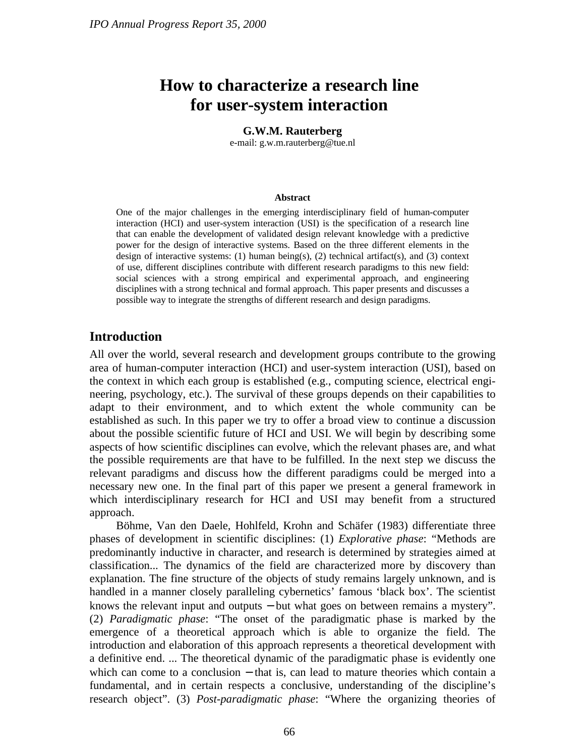# **How to characterize a research line for user-system interaction**

#### **G.W.M. Rauterberg**

e-mail: g.w.m.rauterberg@tue.nl

#### **Abstract**

One of the major challenges in the emerging interdisciplinary field of human-computer interaction (HCI) and user-system interaction (USI) is the specification of a research line that can enable the development of validated design relevant knowledge with a predictive power for the design of interactive systems. Based on the three different elements in the design of interactive systems: (1) human being(s), (2) technical artifact(s), and (3) context of use, different disciplines contribute with different research paradigms to this new field: social sciences with a strong empirical and experimental approach, and engineering disciplines with a strong technical and formal approach. This paper presents and discusses a possible way to integrate the strengths of different research and design paradigms.

## **Introduction**

All over the world, several research and development groups contribute to the growing area of human-computer interaction (HCI) and user-system interaction (USI), based on the context in which each group is established (e.g., computing science, electrical engineering, psychology, etc.). The survival of these groups depends on their capabilities to adapt to their environment, and to which extent the whole community can be established as such. In this paper we try to offer a broad view to continue a discussion about the possible scientific future of HCI and USI. We will begin by describing some aspects of how scientific disciplines can evolve, which the relevant phases are, and what the possible requirements are that have to be fulfilled. In the next step we discuss the relevant paradigms and discuss how the different paradigms could be merged into a necessary new one. In the final part of this paper we present a general framework in which interdisciplinary research for HCI and USI may benefit from a structured approach.

Böhme, Van den Daele, Hohlfeld, Krohn and Schäfer (1983) differentiate three phases of development in scientific disciplines: (1) *Explorative phase*: "Methods are predominantly inductive in character, and research is determined by strategies aimed at classification... The dynamics of the field are characterized more by discovery than explanation. The fine structure of the objects of study remains largely unknown, and is handled in a manner closely paralleling cybernetics' famous 'black box'. The scientist knows the relevant input and outputs − but what goes on between remains a mystery". (2) *Paradigmatic phase*: "The onset of the paradigmatic phase is marked by the emergence of a theoretical approach which is able to organize the field. The introduction and elaboration of this approach represents a theoretical development with a definitive end. ... The theoretical dynamic of the paradigmatic phase is evidently one which can come to a conclusion – that is, can lead to mature theories which contain a fundamental, and in certain respects a conclusive, understanding of the discipline's research object". (3) *Post-paradigmatic phase*: "Where the organizing theories of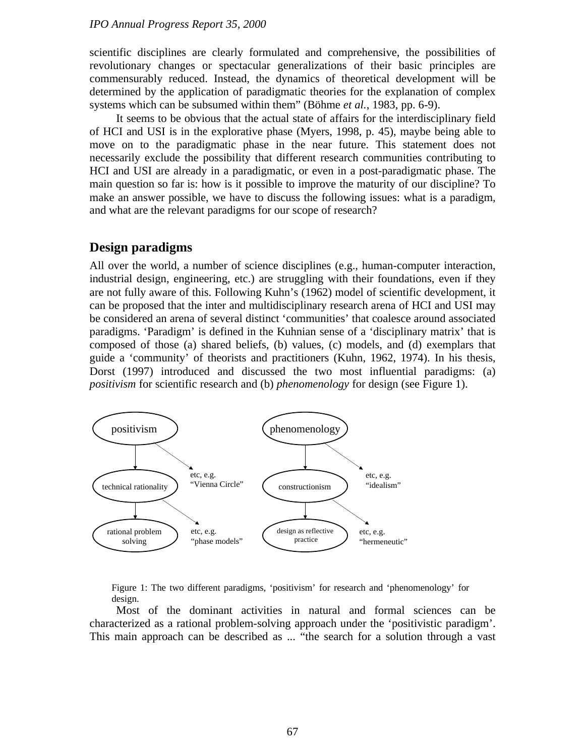scientific disciplines are clearly formulated and comprehensive, the possibilities of revolutionary changes or spectacular generalizations of their basic principles are commensurably reduced. Instead, the dynamics of theoretical development will be determined by the application of paradigmatic theories for the explanation of complex systems which can be subsumed within them" (Böhme *et al.*, 1983, pp. 6-9).

It seems to be obvious that the actual state of affairs for the interdisciplinary field of HCI and USI is in the explorative phase (Myers, 1998, p. 45), maybe being able to move on to the paradigmatic phase in the near future. This statement does not necessarily exclude the possibility that different research communities contributing to HCI and USI are already in a paradigmatic, or even in a post-paradigmatic phase. The main question so far is: how is it possible to improve the maturity of our discipline? To make an answer possible, we have to discuss the following issues: what is a paradigm, and what are the relevant paradigms for our scope of research?

## **Design paradigms**

All over the world, a number of science disciplines (e.g., human-computer interaction, industrial design, engineering, etc.) are struggling with their foundations, even if they are not fully aware of this. Following Kuhn's (1962) model of scientific development, it can be proposed that the inter and multidisciplinary research arena of HCI and USI may be considered an arena of several distinct 'communities' that coalesce around associated paradigms. 'Paradigm' is defined in the Kuhnian sense of a 'disciplinary matrix' that is composed of those (a) shared beliefs, (b) values, (c) models, and (d) exemplars that guide a 'community' of theorists and practitioners (Kuhn, 1962, 1974). In his thesis, Dorst (1997) introduced and discussed the two most influential paradigms: (a) *positivism* for scientific research and (b) *phenomenology* for design (see Figure 1).



Figure 1: The two different paradigms, 'positivism' for research and 'phenomenology' for design.

Most of the dominant activities in natural and formal sciences can be characterized as a rational problem-solving approach under the 'positivistic paradigm'. This main approach can be described as ... "the search for a solution through a vast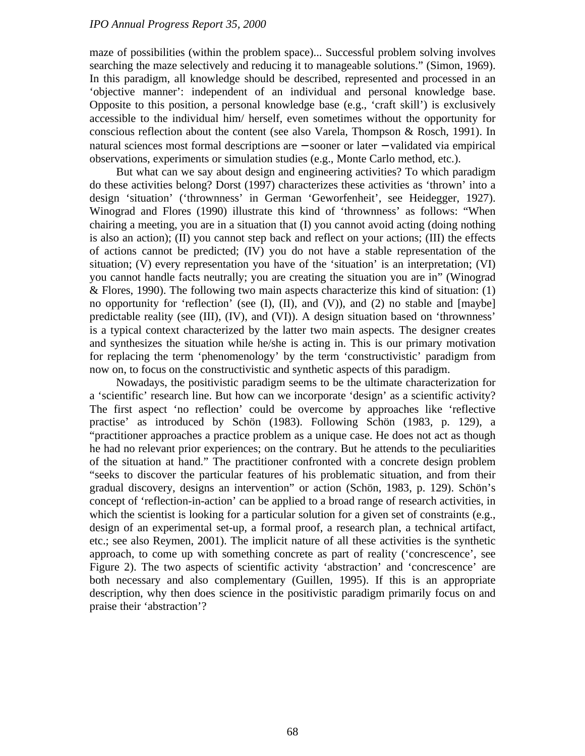maze of possibilities (within the problem space)... Successful problem solving involves searching the maze selectively and reducing it to manageable solutions." (Simon, 1969). In this paradigm, all knowledge should be described, represented and processed in an 'objective manner': independent of an individual and personal knowledge base. Opposite to this position, a personal knowledge base (e.g., 'craft skill') is exclusively accessible to the individual him/ herself, even sometimes without the opportunity for conscious reflection about the content (see also Varela, Thompson & Rosch, 1991). In natural sciences most formal descriptions are − sooner or later − validated via empirical observations, experiments or simulation studies (e.g., Monte Carlo method, etc.).

But what can we say about design and engineering activities? To which paradigm do these activities belong? Dorst (1997) characterizes these activities as 'thrown' into a design 'situation' ('thrownness' in German 'Geworfenheit', see Heidegger, 1927). Winograd and Flores (1990) illustrate this kind of 'thrownness' as follows: "When chairing a meeting, you are in a situation that (I) you cannot avoid acting (doing nothing is also an action); (II) you cannot step back and reflect on your actions; (III) the effects of actions cannot be predicted; (IV) you do not have a stable representation of the situation; (V) every representation you have of the 'situation' is an interpretation; (VI) you cannot handle facts neutrally; you are creating the situation you are in" (Winograd & Flores, 1990). The following two main aspects characterize this kind of situation: (1) no opportunity for 'reflection' (see  $(I)$ ,  $(II)$ , and  $(V)$ ), and  $(2)$  no stable and  $[maybe]$ predictable reality (see (III), (IV), and (VI)). A design situation based on 'thrownness' is a typical context characterized by the latter two main aspects. The designer creates and synthesizes the situation while he/she is acting in. This is our primary motivation for replacing the term 'phenomenology' by the term 'constructivistic' paradigm from now on, to focus on the constructivistic and synthetic aspects of this paradigm.

Nowadays, the positivistic paradigm seems to be the ultimate characterization for a 'scientific' research line. But how can we incorporate 'design' as a scientific activity? The first aspect 'no reflection' could be overcome by approaches like 'reflective practise' as introduced by Schön (1983). Following Schön (1983, p. 129), a "practitioner approaches a practice problem as a unique case. He does not act as though he had no relevant prior experiences; on the contrary. But he attends to the peculiarities of the situation at hand." The practitioner confronted with a concrete design problem "seeks to discover the particular features of his problematic situation, and from their gradual discovery, designs an intervention" or action (Schön, 1983, p. 129). Schön's concept of 'reflection-in-action' can be applied to a broad range of research activities, in which the scientist is looking for a particular solution for a given set of constraints (e.g., design of an experimental set-up, a formal proof, a research plan, a technical artifact, etc.; see also Reymen, 2001). The implicit nature of all these activities is the synthetic approach, to come up with something concrete as part of reality ('concrescence', see Figure 2). The two aspects of scientific activity 'abstraction' and 'concrescence' are both necessary and also complementary (Guillen, 1995). If this is an appropriate description, why then does science in the positivistic paradigm primarily focus on and praise their 'abstraction'?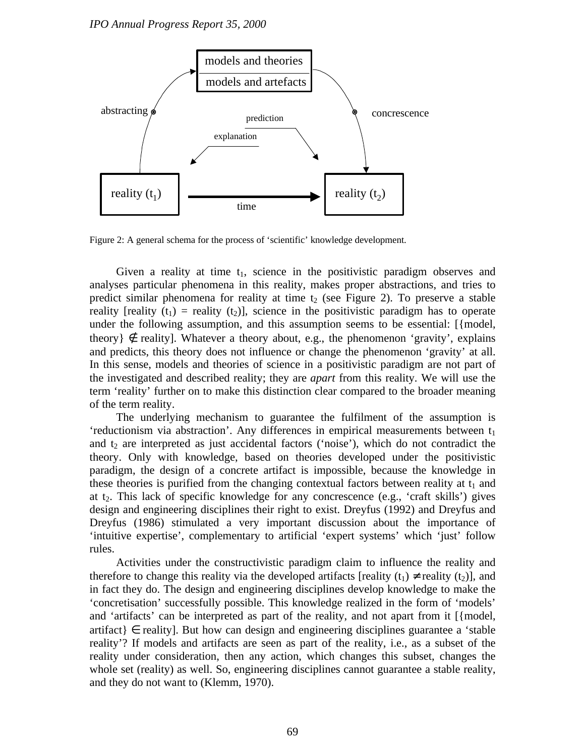

Figure 2: A general schema for the process of 'scientific' knowledge development.

Given a reality at time  $t_1$ , science in the positivistic paradigm observes and analyses particular phenomena in this reality, makes proper abstractions, and tries to predict similar phenomena for reality at time  $t_2$  (see Figure 2). To preserve a stable reality [reality (t<sub>1</sub>) = reality (t<sub>2</sub>)], science in the positivistic paradigm has to operate under the following assumption, and this assumption seems to be essential: [{model, theory  $\xi$  reality]. Whatever a theory about, e.g., the phenomenon 'gravity', explains and predicts, this theory does not influence or change the phenomenon 'gravity' at all. In this sense, models and theories of science in a positivistic paradigm are not part of the investigated and described reality; they are *apart* from this reality. We will use the term 'reality' further on to make this distinction clear compared to the broader meaning of the term reality.

The underlying mechanism to guarantee the fulfilment of the assumption is 'reductionism via abstraction'. Any differences in empirical measurements between  $t_1$ and  $t_2$  are interpreted as just accidental factors ('noise'), which do not contradict the theory. Only with knowledge, based on theories developed under the positivistic paradigm, the design of a concrete artifact is impossible, because the knowledge in these theories is purified from the changing contextual factors between reality at  $t_1$  and at  $t_2$ . This lack of specific knowledge for any concrescence (e.g., 'craft skills') gives design and engineering disciplines their right to exist. Dreyfus (1992) and Dreyfus and Dreyfus (1986) stimulated a very important discussion about the importance of 'intuitive expertise', complementary to artificial 'expert systems' which 'just' follow rules.

Activities under the constructivistic paradigm claim to influence the reality and therefore to change this reality via the developed artifacts [reality  $(t_1) \neq$  reality  $(t_2)$ ], and in fact they do. The design and engineering disciplines develop knowledge to make the 'concretisation' successfully possible. This knowledge realized in the form of 'models' and 'artifacts' can be interpreted as part of the reality, and not apart from it [{model,  $artifact$ }  $\in$  reality]. But how can design and engineering disciplines guarantee a 'stable' reality'? If models and artifacts are seen as part of the reality, i.e., as a subset of the reality under consideration, then any action, which changes this subset, changes the whole set (reality) as well. So, engineering disciplines cannot guarantee a stable reality, and they do not want to (Klemm, 1970).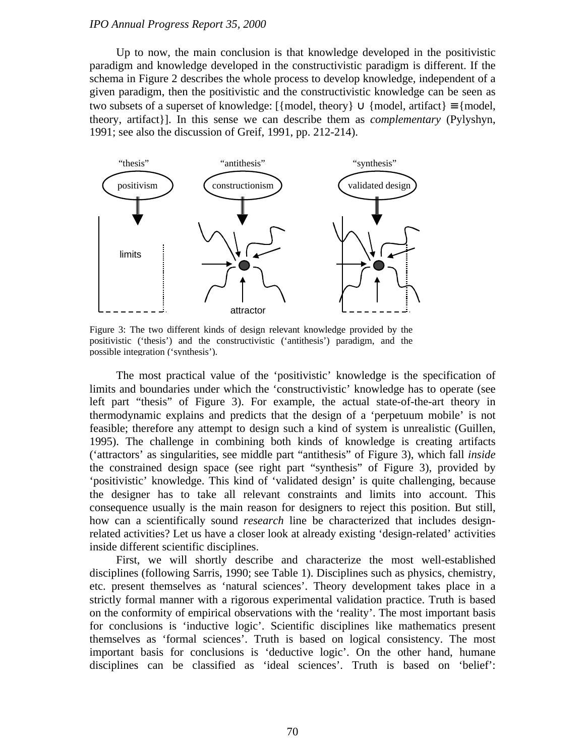Up to now, the main conclusion is that knowledge developed in the positivistic paradigm and knowledge developed in the constructivistic paradigm is different. If the schema in Figure 2 describes the whole process to develop knowledge, independent of a given paradigm, then the positivistic and the constructivistic knowledge can be seen as two subsets of a superset of knowledge:  $[\{model, theory\} \cup \{model, artifact\} = \{model,$ theory, artifact}]. In this sense we can describe them as *complementary* (Pylyshyn, 1991; see also the discussion of Greif, 1991, pp. 212-214).



Figure 3: The two different kinds of design relevant knowledge provided by the positivistic ('thesis') and the constructivistic ('antithesis') paradigm, and the possible integration ('synthesis').

The most practical value of the 'positivistic' knowledge is the specification of limits and boundaries under which the 'constructivistic' knowledge has to operate (see left part "thesis" of Figure 3). For example, the actual state-of-the-art theory in thermodynamic explains and predicts that the design of a 'perpetuum mobile' is not feasible; therefore any attempt to design such a kind of system is unrealistic (Guillen, 1995). The challenge in combining both kinds of knowledge is creating artifacts ('attractors' as singularities, see middle part "antithesis" of Figure 3), which fall *inside* the constrained design space (see right part "synthesis" of Figure 3), provided by 'positivistic' knowledge. This kind of 'validated design' is quite challenging, because the designer has to take all relevant constraints and limits into account. This consequence usually is the main reason for designers to reject this position. But still, how can a scientifically sound *research* line be characterized that includes designrelated activities? Let us have a closer look at already existing 'design-related' activities inside different scientific disciplines.

First, we will shortly describe and characterize the most well-established disciplines (following Sarris, 1990; see Table 1). Disciplines such as physics, chemistry, etc. present themselves as 'natural sciences'. Theory development takes place in a strictly formal manner with a rigorous experimental validation practice. Truth is based on the conformity of empirical observations with the 'reality'. The most important basis for conclusions is 'inductive logic'. Scientific disciplines like mathematics present themselves as 'formal sciences'. Truth is based on logical consistency. The most important basis for conclusions is 'deductive logic'. On the other hand, humane disciplines can be classified as 'ideal sciences'. Truth is based on 'belief':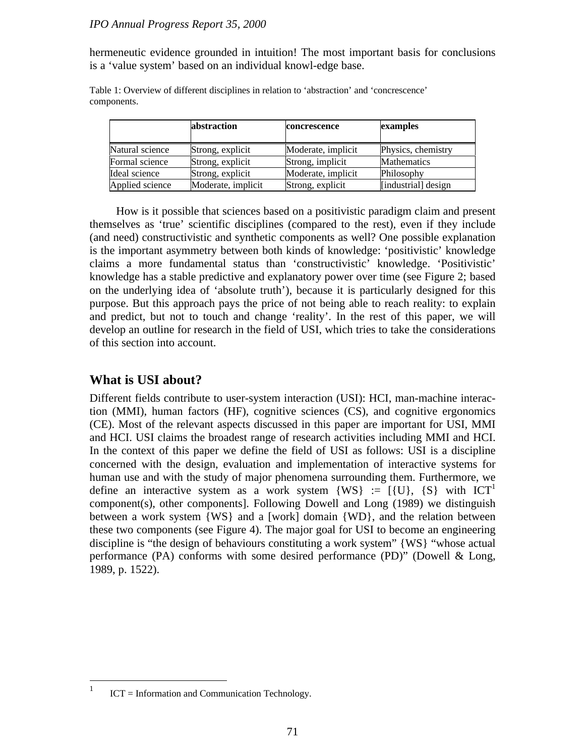hermeneutic evidence grounded in intuition! The most important basis for conclusions is a 'value system' based on an individual knowl-edge base.

|                 | abstraction        | concrescence       | examples            |
|-----------------|--------------------|--------------------|---------------------|
| Natural science | Strong, explicit   | Moderate, implicit | Physics, chemistry  |
| Formal science  | Strong, explicit   | Strong, implicit   | <b>Mathematics</b>  |
| Ideal science   | Strong, explicit   | Moderate, implicit | Philosophy          |
| Applied science | Moderate, implicit | Strong, explicit   | [industrial] design |

Table 1: Overview of different disciplines in relation to 'abstraction' and 'concrescence' components.

How is it possible that sciences based on a positivistic paradigm claim and present themselves as 'true' scientific disciplines (compared to the rest), even if they include (and need) constructivistic and synthetic components as well? One possible explanation is the important asymmetry between both kinds of knowledge: 'positivistic' knowledge claims a more fundamental status than 'constructivistic' knowledge. 'Positivistic' knowledge has a stable predictive and explanatory power over time (see Figure 2; based on the underlying idea of 'absolute truth'), because it is particularly designed for this purpose. But this approach pays the price of not being able to reach reality: to explain and predict, but not to touch and change 'reality'. In the rest of this paper, we will develop an outline for research in the field of USI, which tries to take the considerations of this section into account.

## **What is USI about?**

Different fields contribute to user-system interaction (USI): HCI, man-machine interaction (MMI), human factors (HF), cognitive sciences (CS), and cognitive ergonomics (CE). Most of the relevant aspects discussed in this paper are important for USI, MMI and HCI. USI claims the broadest range of research activities including MMI and HCI. In the context of this paper we define the field of USI as follows: USI is a discipline concerned with the design, evaluation and implementation of interactive systems for human use and with the study of major phenomena surrounding them. Furthermore, we define an interactive system as a work system  $\{WS\} := \{\{U\}, \{S\} \text{ with } ICT^1$ component(s), other components]. Following Dowell and Long (1989) we distinguish between a work system {WS} and a [work] domain {WD}, and the relation between these two components (see Figure 4). The major goal for USI to become an engineering discipline is "the design of behaviours constituting a work system" {WS} "whose actual performance (PA) conforms with some desired performance (PD)" (Dowell & Long, 1989, p. 1522).

 $\frac{1}{1}$ ICT = Information and Communication Technology.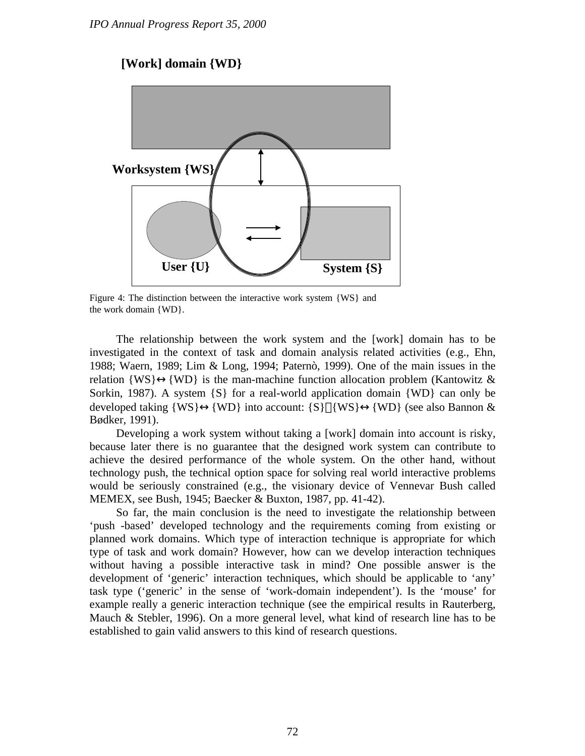## **[Work] domain {WD}**



Figure 4: The distinction between the interactive work system {WS} and the work domain {WD}.

The relationship between the work system and the [work] domain has to be investigated in the context of task and domain analysis related activities (e.g., Ehn, 1988; Waern, 1989; Lim & Long, 1994; Paternò, 1999). One of the main issues in the relation  $\{WS\} \leftrightarrow \{WD\}$  is the man-machine function allocation problem (Kantowitz & Sorkin, 1987). A system  $\{S\}$  for a real-world application domain  $\{WD\}$  can only be developed taking  $\{WS\} \leftrightarrow \{WD\}$  into account:  $\{S\}$   $|\{WS\} \leftrightarrow \{WD\}$  (see also Bannon & Bødker, 1991).

Developing a work system without taking a [work] domain into account is risky, because later there is no guarantee that the designed work system can contribute to achieve the desired performance of the whole system. On the other hand, without technology push, the technical option space for solving real world interactive problems would be seriously constrained (e.g., the visionary device of Vennevar Bush called MEMEX, see Bush, 1945; Baecker & Buxton, 1987, pp. 41-42).

So far, the main conclusion is the need to investigate the relationship between 'push -based' developed technology and the requirements coming from existing or planned work domains. Which type of interaction technique is appropriate for which type of task and work domain? However, how can we develop interaction techniques without having a possible interactive task in mind? One possible answer is the development of 'generic' interaction techniques, which should be applicable to 'any' task type ('generic' in the sense of 'work-domain independent'). Is the 'mouse' for example really a generic interaction technique (see the empirical results in Rauterberg, Mauch & Stebler, 1996). On a more general level, what kind of research line has to be established to gain valid answers to this kind of research questions.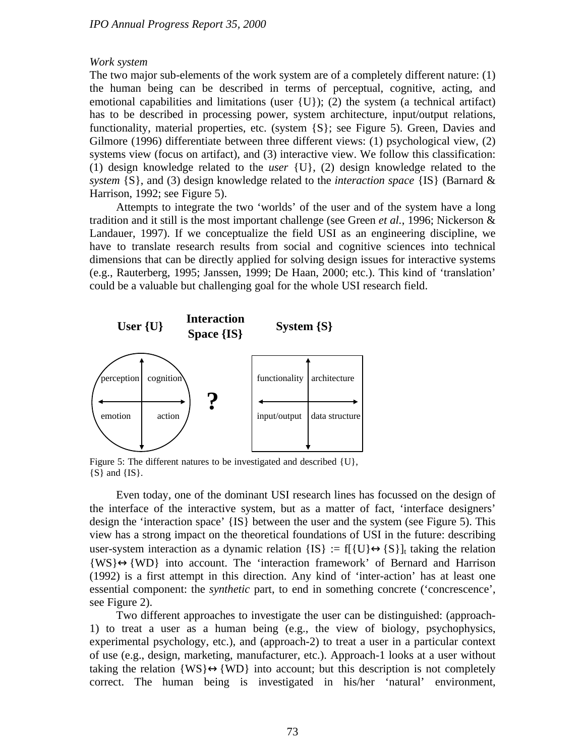#### *Work system*

The two major sub-elements of the work system are of a completely different nature: (1) the human being can be described in terms of perceptual, cognitive, acting, and emotional capabilities and limitations (user  $\{U\}$ ); (2) the system (a technical artifact) has to be described in processing power, system architecture, input/output relations, functionality, material properties, etc. (system {S}; see Figure 5). Green, Davies and Gilmore (1996) differentiate between three different views: (1) psychological view, (2) systems view (focus on artifact), and (3) interactive view. We follow this classification: (1) design knowledge related to the *user* {U}, (2) design knowledge related to the *system* {S}, and (3) design knowledge related to the *interaction space* {IS} (Barnard & Harrison, 1992; see Figure 5).

Attempts to integrate the two 'worlds' of the user and of the system have a long tradition and it still is the most important challenge (see Green *et al.*, 1996; Nickerson & Landauer, 1997). If we conceptualize the field USI as an engineering discipline, we have to translate research results from social and cognitive sciences into technical dimensions that can be directly applied for solving design issues for interactive systems (e.g., Rauterberg, 1995; Janssen, 1999; De Haan, 2000; etc.). This kind of 'translation' could be a valuable but challenging goal for the whole USI research field.



Figure 5: The different natures to be investigated and described {U}, {S} and {IS}.

Even today, one of the dominant USI research lines has focussed on the design of the interface of the interactive system, but as a matter of fact, 'interface designers' design the 'interaction space' {IS} between the user and the system (see Figure 5). This view has a strong impact on the theoretical foundations of USI in the future: describing user-system interaction as a dynamic relation  ${IS} := f[{U} \leftrightarrow {S}]$ <sub>t</sub> taking the relation  ${WS} \leftrightarrow {WD}$  into account. The 'interaction framework' of Bernard and Harrison (1992) is a first attempt in this direction. Any kind of 'inter-action' has at least one essential component: the *synthetic* part, to end in something concrete ('concrescence', see Figure 2).

Two different approaches to investigate the user can be distinguished: (approach-1) to treat a user as a human being (e.g., the view of biology, psychophysics, experimental psychology, etc.), and (approach-2) to treat a user in a particular context of use (e.g., design, marketing, manufacturer, etc.). Approach-1 looks at a user without taking the relation  $\{WS\} \leftrightarrow \{WD\}$  into account; but this description is not completely correct. The human being is investigated in his/her 'natural' environment,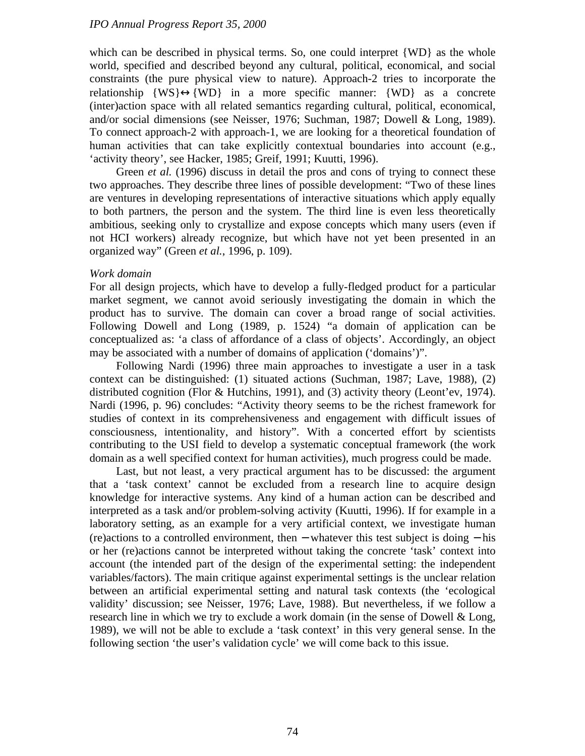which can be described in physical terms. So, one could interpret {WD} as the whole world, specified and described beyond any cultural, political, economical, and social constraints (the pure physical view to nature). Approach-2 tries to incorporate the relationship  $\{WS\} \leftrightarrow \{WD\}$  in a more specific manner:  $\{WD\}$  as a concrete (inter)action space with all related semantics regarding cultural, political, economical, and/or social dimensions (see Neisser, 1976; Suchman, 1987; Dowell & Long, 1989). To connect approach-2 with approach-1, we are looking for a theoretical foundation of human activities that can take explicitly contextual boundaries into account (e.g., 'activity theory', see Hacker, 1985; Greif, 1991; Kuutti, 1996).

Green *et al.* (1996) discuss in detail the pros and cons of trying to connect these two approaches. They describe three lines of possible development: "Two of these lines are ventures in developing representations of interactive situations which apply equally to both partners, the person and the system. The third line is even less theoretically ambitious, seeking only to crystallize and expose concepts which many users (even if not HCI workers) already recognize, but which have not yet been presented in an organized way" (Green *et al.*, 1996, p. 109).

#### *Work domain*

For all design projects, which have to develop a fully-fledged product for a particular market segment, we cannot avoid seriously investigating the domain in which the product has to survive. The domain can cover a broad range of social activities. Following Dowell and Long (1989, p. 1524) "a domain of application can be conceptualized as: 'a class of affordance of a class of objects'. Accordingly, an object may be associated with a number of domains of application ('domains')".

Following Nardi (1996) three main approaches to investigate a user in a task context can be distinguished: (1) situated actions (Suchman, 1987; Lave, 1988), (2) distributed cognition (Flor & Hutchins, 1991), and (3) activity theory (Leont'ev, 1974). Nardi (1996, p. 96) concludes: "Activity theory seems to be the richest framework for studies of context in its comprehensiveness and engagement with difficult issues of consciousness, intentionality, and history". With a concerted effort by scientists contributing to the USI field to develop a systematic conceptual framework (the work domain as a well specified context for human activities), much progress could be made.

Last, but not least, a very practical argument has to be discussed: the argument that a 'task context' cannot be excluded from a research line to acquire design knowledge for interactive systems. Any kind of a human action can be described and interpreted as a task and/or problem-solving activity (Kuutti, 1996). If for example in a laboratory setting, as an example for a very artificial context, we investigate human (re)actions to a controlled environment, then − whatever this test subject is doing − his or her (re)actions cannot be interpreted without taking the concrete 'task' context into account (the intended part of the design of the experimental setting: the independent variables/factors). The main critique against experimental settings is the unclear relation between an artificial experimental setting and natural task contexts (the 'ecological validity' discussion; see Neisser, 1976; Lave, 1988). But nevertheless, if we follow a research line in which we try to exclude a work domain (in the sense of Dowell & Long, 1989), we will not be able to exclude a 'task context' in this very general sense. In the following section 'the user's validation cycle' we will come back to this issue.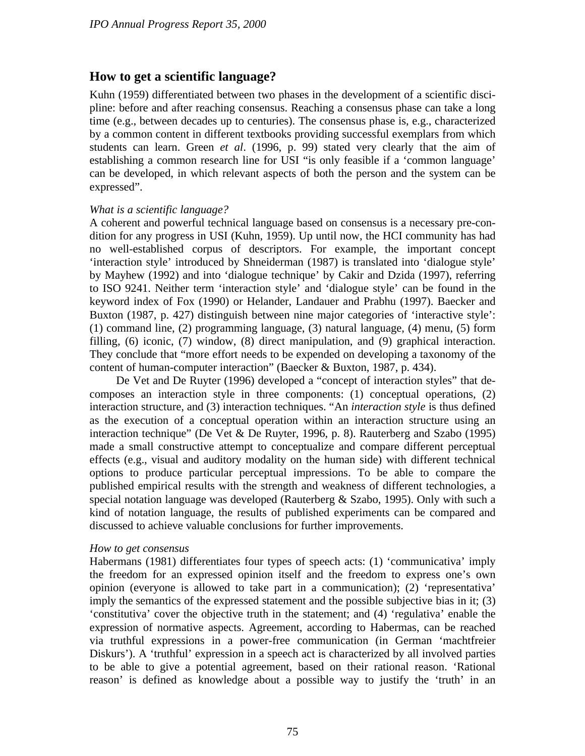## **How to get a scientific language?**

Kuhn (1959) differentiated between two phases in the development of a scientific discipline: before and after reaching consensus. Reaching a consensus phase can take a long time (e.g., between decades up to centuries). The consensus phase is, e.g., characterized by a common content in different textbooks providing successful exemplars from which students can learn. Green *et al*. (1996, p. 99) stated very clearly that the aim of establishing a common research line for USI "is only feasible if a 'common language' can be developed, in which relevant aspects of both the person and the system can be expressed".

#### *What is a scientific language?*

A coherent and powerful technical language based on consensus is a necessary pre-condition for any progress in USI (Kuhn, 1959). Up until now, the HCI community has had no well-established corpus of descriptors. For example, the important concept 'interaction style' introduced by Shneiderman (1987) is translated into 'dialogue style' by Mayhew (1992) and into 'dialogue technique' by Cakir and Dzida (1997), referring to ISO 9241. Neither term 'interaction style' and 'dialogue style' can be found in the keyword index of Fox (1990) or Helander, Landauer and Prabhu (1997). Baecker and Buxton (1987, p. 427) distinguish between nine major categories of 'interactive style': (1) command line, (2) programming language, (3) natural language, (4) menu, (5) form filling, (6) iconic, (7) window, (8) direct manipulation, and (9) graphical interaction. They conclude that "more effort needs to be expended on developing a taxonomy of the content of human-computer interaction" (Baecker & Buxton, 1987, p. 434).

De Vet and De Ruyter (1996) developed a "concept of interaction styles" that decomposes an interaction style in three components: (1) conceptual operations, (2) interaction structure, and (3) interaction techniques. "An *interaction style* is thus defined as the execution of a conceptual operation within an interaction structure using an interaction technique" (De Vet & De Ruyter, 1996, p. 8). Rauterberg and Szabo (1995) made a small constructive attempt to conceptualize and compare different perceptual effects (e.g., visual and auditory modality on the human side) with different technical options to produce particular perceptual impressions. To be able to compare the published empirical results with the strength and weakness of different technologies, a special notation language was developed (Rauterberg & Szabo, 1995). Only with such a kind of notation language, the results of published experiments can be compared and discussed to achieve valuable conclusions for further improvements.

#### *How to get consensus*

Habermans (1981) differentiates four types of speech acts: (1) 'communicativa' imply the freedom for an expressed opinion itself and the freedom to express one's own opinion (everyone is allowed to take part in a communication); (2) 'representativa' imply the semantics of the expressed statement and the possible subjective bias in it; (3) 'constitutiva' cover the objective truth in the statement; and (4) 'regulativa' enable the expression of normative aspects. Agreement, according to Habermas, can be reached via truthful expressions in a power-free communication (in German 'machtfreier Diskurs'). A 'truthful' expression in a speech act is characterized by all involved parties to be able to give a potential agreement, based on their rational reason. 'Rational reason' is defined as knowledge about a possible way to justify the 'truth' in an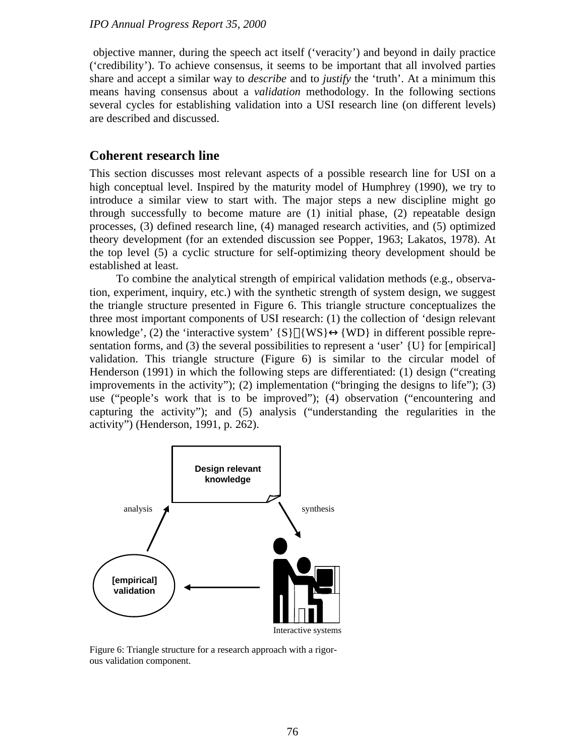objective manner, during the speech act itself ('veracity') and beyond in daily practice ('credibility'). To achieve consensus, it seems to be important that all involved parties share and accept a similar way to *describe* and to *justify* the 'truth'. At a minimum this means having consensus about a *validation* methodology. In the following sections several cycles for establishing validation into a USI research line (on different levels) are described and discussed.

## **Coherent research line**

This section discusses most relevant aspects of a possible research line for USI on a high conceptual level. Inspired by the maturity model of Humphrey (1990), we try to introduce a similar view to start with. The major steps a new discipline might go through successfully to become mature are (1) initial phase, (2) repeatable design processes, (3) defined research line, (4) managed research activities, and (5) optimized theory development (for an extended discussion see Popper, 1963; Lakatos, 1978). At the top level (5) a cyclic structure for self-optimizing theory development should be established at least.

To combine the analytical strength of empirical validation methods (e.g., observation, experiment, inquiry, etc.) with the synthetic strength of system design, we suggest the triangle structure presented in Figure 6. This triangle structure conceptualizes the three most important components of USI research: (1) the collection of 'design relevant knowledge', (2) the 'interactive system'  $\{S\}$   $\{WS\} \leftrightarrow \{WD\}$  in different possible representation forms, and  $(3)$  the several possibilities to represent a 'user'  $\{U\}$  for [empirical] validation. This triangle structure (Figure 6) is similar to the circular model of Henderson (1991) in which the following steps are differentiated: (1) design ("creating improvements in the activity"); (2) implementation ("bringing the designs to life"); (3) use ("people's work that is to be improved"); (4) observation ("encountering and capturing the activity"); and (5) analysis ("understanding the regularities in the activity") (Henderson, 1991, p. 262).



Figure 6: Triangle structure for a research approach with a rigorous validation component.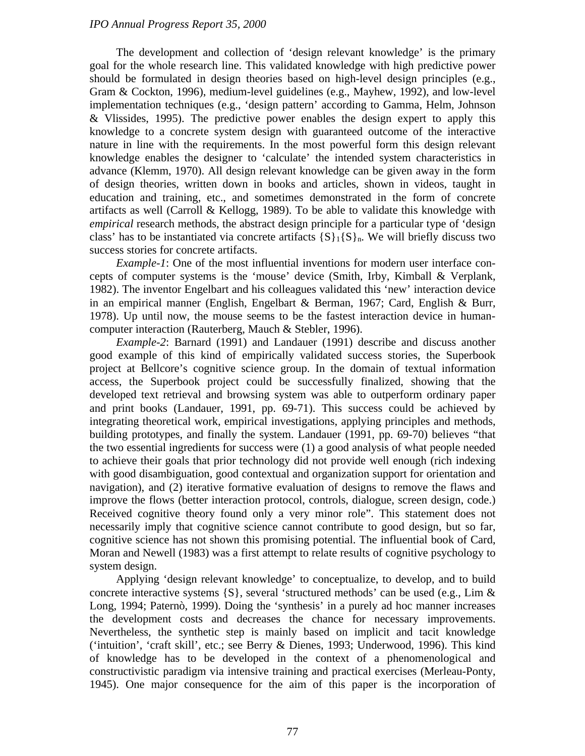The development and collection of 'design relevant knowledge' is the primary goal for the whole research line. This validated knowledge with high predictive power should be formulated in design theories based on high-level design principles (e.g., Gram & Cockton, 1996), medium-level guidelines (e.g., Mayhew, 1992), and low-level implementation techniques (e.g., 'design pattern' according to Gamma, Helm, Johnson & Vlissides, 1995). The predictive power enables the design expert to apply this knowledge to a concrete system design with guaranteed outcome of the interactive nature in line with the requirements. In the most powerful form this design relevant knowledge enables the designer to 'calculate' the intended system characteristics in advance (Klemm, 1970). All design relevant knowledge can be given away in the form of design theories, written down in books and articles, shown in videos, taught in education and training, etc., and sometimes demonstrated in the form of concrete artifacts as well (Carroll & Kellogg, 1989). To be able to validate this knowledge with *empirical* research methods, the abstract design principle for a particular type of 'design class' has to be instantiated via concrete artifacts  $\{S\}_{1} \{S\}_{n}$ . We will briefly discuss two success stories for concrete artifacts.

*Example-1*: One of the most influential inventions for modern user interface concepts of computer systems is the 'mouse' device (Smith, Irby, Kimball & Verplank, 1982). The inventor Engelbart and his colleagues validated this 'new' interaction device in an empirical manner (English, Engelbart & Berman, 1967; Card, English & Burr, 1978). Up until now, the mouse seems to be the fastest interaction device in humancomputer interaction (Rauterberg, Mauch & Stebler, 1996).

*Example-2*: Barnard (1991) and Landauer (1991) describe and discuss another good example of this kind of empirically validated success stories, the Superbook project at Bellcore's cognitive science group. In the domain of textual information access, the Superbook project could be successfully finalized, showing that the developed text retrieval and browsing system was able to outperform ordinary paper and print books (Landauer, 1991, pp. 69-71). This success could be achieved by integrating theoretical work, empirical investigations, applying principles and methods, building prototypes, and finally the system. Landauer (1991, pp. 69-70) believes "that the two essential ingredients for success were (1) a good analysis of what people needed to achieve their goals that prior technology did not provide well enough (rich indexing with good disambiguation, good contextual and organization support for orientation and navigation), and (2) iterative formative evaluation of designs to remove the flaws and improve the flows (better interaction protocol, controls, dialogue, screen design, code.) Received cognitive theory found only a very minor role". This statement does not necessarily imply that cognitive science cannot contribute to good design, but so far, cognitive science has not shown this promising potential. The influential book of Card, Moran and Newell (1983) was a first attempt to relate results of cognitive psychology to system design.

Applying 'design relevant knowledge' to conceptualize, to develop, and to build concrete interactive systems {S}, several 'structured methods' can be used (e.g., Lim & Long, 1994; Paternò, 1999). Doing the 'synthesis' in a purely ad hoc manner increases the development costs and decreases the chance for necessary improvements. Nevertheless, the synthetic step is mainly based on implicit and tacit knowledge ('intuition', 'craft skill', etc.; see Berry & Dienes, 1993; Underwood, 1996). This kind of knowledge has to be developed in the context of a phenomenological and constructivistic paradigm via intensive training and practical exercises (Merleau-Ponty, 1945). One major consequence for the aim of this paper is the incorporation of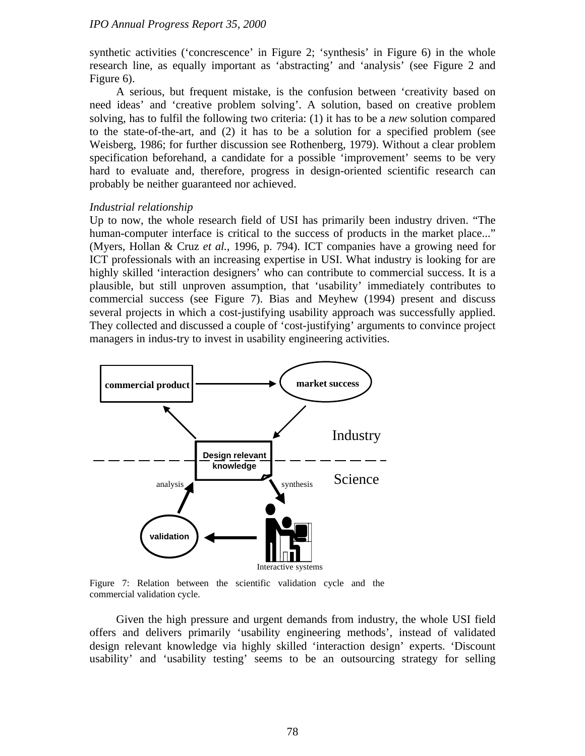synthetic activities ('concrescence' in Figure 2; 'synthesis' in Figure 6) in the whole research line, as equally important as 'abstracting' and 'analysis' (see Figure 2 and Figure 6).

A serious, but frequent mistake, is the confusion between 'creativity based on need ideas' and 'creative problem solving'. A solution, based on creative problem solving, has to fulfil the following two criteria: (1) it has to be a *new* solution compared to the state-of-the-art, and (2) it has to be a solution for a specified problem (see Weisberg, 1986; for further discussion see Rothenberg, 1979). Without a clear problem specification beforehand, a candidate for a possible 'improvement' seems to be very hard to evaluate and, therefore, progress in design-oriented scientific research can probably be neither guaranteed nor achieved.

## *Industrial relationship*

Up to now, the whole research field of USI has primarily been industry driven. "The human-computer interface is critical to the success of products in the market place..." (Myers, Hollan & Cruz *et al.*, 1996, p. 794). ICT companies have a growing need for ICT professionals with an increasing expertise in USI. What industry is looking for are highly skilled 'interaction designers' who can contribute to commercial success. It is a plausible, but still unproven assumption, that 'usability' immediately contributes to commercial success (see Figure 7). Bias and Meyhew (1994) present and discuss several projects in which a cost-justifying usability approach was successfully applied. They collected and discussed a couple of 'cost-justifying' arguments to convince project managers in indus-try to invest in usability engineering activities.



Figure 7: Relation between the scientific validation cycle and the commercial validation cycle.

Given the high pressure and urgent demands from industry, the whole USI field offers and delivers primarily 'usability engineering methods', instead of validated design relevant knowledge via highly skilled 'interaction design' experts. 'Discount usability' and 'usability testing' seems to be an outsourcing strategy for selling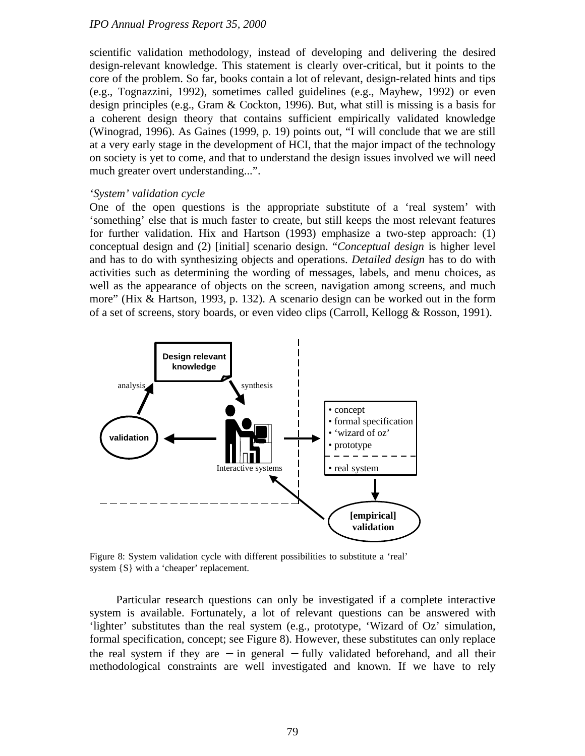scientific validation methodology, instead of developing and delivering the desired design-relevant knowledge. This statement is clearly over-critical, but it points to the core of the problem. So far, books contain a lot of relevant, design-related hints and tips (e.g., Tognazzini, 1992), sometimes called guidelines (e.g., Mayhew, 1992) or even design principles (e.g., Gram & Cockton, 1996). But, what still is missing is a basis for a coherent design theory that contains sufficient empirically validated knowledge (Winograd, 1996). As Gaines (1999, p. 19) points out, "I will conclude that we are still at a very early stage in the development of HCI, that the major impact of the technology on society is yet to come, and that to understand the design issues involved we will need much greater overt understanding...".

#### *'System' validation cycle*

One of the open questions is the appropriate substitute of a 'real system' with 'something' else that is much faster to create, but still keeps the most relevant features for further validation. Hix and Hartson (1993) emphasize a two-step approach: (1) conceptual design and (2) [initial] scenario design. "*Conceptual design* is higher level and has to do with synthesizing objects and operations. *Detailed design* has to do with activities such as determining the wording of messages, labels, and menu choices, as well as the appearance of objects on the screen, navigation among screens, and much more" (Hix & Hartson, 1993, p. 132). A scenario design can be worked out in the form of a set of screens, story boards, or even video clips (Carroll, Kellogg & Rosson, 1991).



Figure 8: System validation cycle with different possibilities to substitute a 'real' system {S} with a 'cheaper' replacement.

Particular research questions can only be investigated if a complete interactive system is available. Fortunately, a lot of relevant questions can be answered with 'lighter' substitutes than the real system (e.g., prototype, 'Wizard of Oz' simulation, formal specification, concept; see Figure 8). However, these substitutes can only replace the real system if they are − in general − fully validated beforehand, and all their methodological constraints are well investigated and known. If we have to rely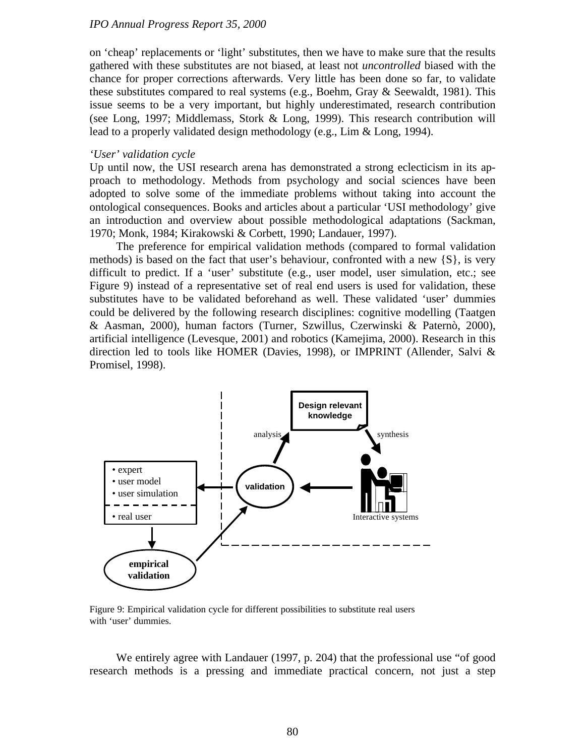on 'cheap' replacements or 'light' substitutes, then we have to make sure that the results gathered with these substitutes are not biased, at least not *uncontrolled* biased with the chance for proper corrections afterwards. Very little has been done so far, to validate these substitutes compared to real systems (e.g., Boehm, Gray & Seewaldt, 1981). This issue seems to be a very important, but highly underestimated, research contribution (see Long, 1997; Middlemass, Stork & Long, 1999). This research contribution will lead to a properly validated design methodology (e.g., Lim & Long, 1994).

#### *'User' validation cycle*

Up until now, the USI research arena has demonstrated a strong eclecticism in its approach to methodology. Methods from psychology and social sciences have been adopted to solve some of the immediate problems without taking into account the ontological consequences. Books and articles about a particular 'USI methodology' give an introduction and overview about possible methodological adaptations (Sackman, 1970; Monk, 1984; Kirakowski & Corbett, 1990; Landauer, 1997).

The preference for empirical validation methods (compared to formal validation methods) is based on the fact that user's behaviour, confronted with a new  $\{S\}$ , is very difficult to predict. If a 'user' substitute (e.g., user model, user simulation, etc.; see Figure 9) instead of a representative set of real end users is used for validation, these substitutes have to be validated beforehand as well. These validated 'user' dummies could be delivered by the following research disciplines: cognitive modelling (Taatgen & Aasman, 2000), human factors (Turner, Szwillus, Czerwinski & Paternò, 2000), artificial intelligence (Levesque, 2001) and robotics (Kamejima, 2000). Research in this direction led to tools like HOMER (Davies, 1998), or IMPRINT (Allender, Salvi & Promisel, 1998).



Figure 9: Empirical validation cycle for different possibilities to substitute real users with 'user' dummies.

We entirely agree with Landauer (1997, p. 204) that the professional use "of good research methods is a pressing and immediate practical concern, not just a step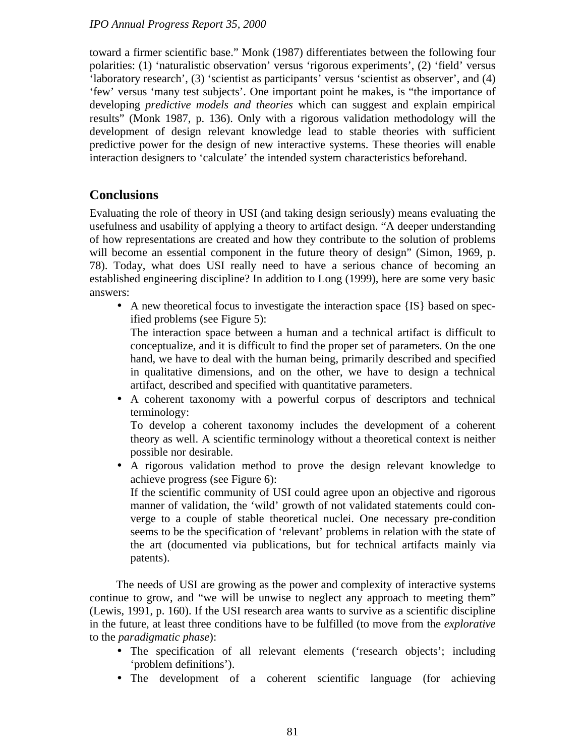toward a firmer scientific base." Monk (1987) differentiates between the following four polarities: (1) 'naturalistic observation' versus 'rigorous experiments', (2) 'field' versus 'laboratory research', (3) 'scientist as participants' versus 'scientist as observer', and (4) 'few' versus 'many test subjects'. One important point he makes, is "the importance of developing *predictive models and theories* which can suggest and explain empirical results" (Monk 1987, p. 136). Only with a rigorous validation methodology will the development of design relevant knowledge lead to stable theories with sufficient predictive power for the design of new interactive systems. These theories will enable interaction designers to 'calculate' the intended system characteristics beforehand.

## **Conclusions**

Evaluating the role of theory in USI (and taking design seriously) means evaluating the usefulness and usability of applying a theory to artifact design. "A deeper understanding of how representations are created and how they contribute to the solution of problems will become an essential component in the future theory of design" (Simon, 1969, p. 78). Today, what does USI really need to have a serious chance of becoming an established engineering discipline? In addition to Long (1999), here are some very basic answers:

• A new theoretical focus to investigate the interaction space {IS} based on specified problems (see Figure 5):

The interaction space between a human and a technical artifact is difficult to conceptualize, and it is difficult to find the proper set of parameters. On the one hand, we have to deal with the human being, primarily described and specified in qualitative dimensions, and on the other, we have to design a technical artifact, described and specified with quantitative parameters.

• A coherent taxonomy with a powerful corpus of descriptors and technical terminology:

To develop a coherent taxonomy includes the development of a coherent theory as well. A scientific terminology without a theoretical context is neither possible nor desirable.

• A rigorous validation method to prove the design relevant knowledge to achieve progress (see Figure 6):

If the scientific community of USI could agree upon an objective and rigorous manner of validation, the 'wild' growth of not validated statements could converge to a couple of stable theoretical nuclei. One necessary pre-condition seems to be the specification of 'relevant' problems in relation with the state of the art (documented via publications, but for technical artifacts mainly via patents).

The needs of USI are growing as the power and complexity of interactive systems continue to grow, and "we will be unwise to neglect any approach to meeting them" (Lewis, 1991, p. 160). If the USI research area wants to survive as a scientific discipline in the future, at least three conditions have to be fulfilled (to move from the *explorative* to the *paradigmatic phase*):

- The specification of all relevant elements ('research objects'; including 'problem definitions').
- The development of a coherent scientific language (for achieving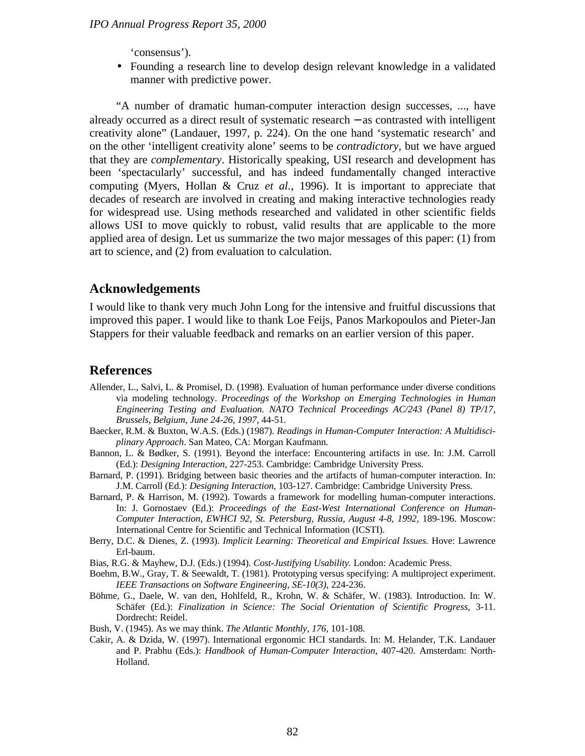'consensus').

• Founding a research line to develop design relevant knowledge in a validated manner with predictive power.

"A number of dramatic human-computer interaction design successes, ..., have already occurred as a direct result of systematic research − as contrasted with intelligent creativity alone" (Landauer, 1997, p. 224). On the one hand 'systematic research' and on the other 'intelligent creativity alone' seems to be *contradictory*, but we have argued that they are *complementary*. Historically speaking, USI research and development has been 'spectacularly' successful, and has indeed fundamentally changed interactive computing (Myers, Hollan & Cruz *et al.*, 1996). It is important to appreciate that decades of research are involved in creating and making interactive technologies ready for widespread use. Using methods researched and validated in other scientific fields allows USI to move quickly to robust, valid results that are applicable to the more applied area of design. Let us summarize the two major messages of this paper: (1) from art to science, and (2) from evaluation to calculation.

## **Acknowledgements**

I would like to thank very much John Long for the intensive and fruitful discussions that improved this paper. I would like to thank Loe Feijs, Panos Markopoulos and Pieter-Jan Stappers for their valuable feedback and remarks on an earlier version of this paper.

#### **References**

- Allender, L., Salvi, L. & Promisel, D. (1998). Evaluation of human performance under diverse conditions via modeling technology. *Proceedings of the Workshop on Emerging Technologies in Human Engineering Testing and Evaluation. NATO Technical Proceedings AC/243 (Panel 8) TP/17, Brussels, Belgium, June 24-26, 1997,* 44-51.
- Baecker, R.M. & Buxton, W.A.S. (Eds.) (1987). *Readings in Human-Computer Interaction: A Multidisciplinary Approach*. San Mateo, CA: Morgan Kaufmann.
- Bannon, L. & Bødker, S. (1991). Beyond the interface: Encountering artifacts in use. In: J.M. Carroll (Ed.): *Designing Interaction*, 227-253. Cambridge: Cambridge University Press.
- Barnard, P. (1991). Bridging between basic theories and the artifacts of human-computer interaction. In: J.M. Carroll (Ed.): *Designing Interaction*, 103-127. Cambridge: Cambridge University Press.
- Barnard, P. & Harrison, M. (1992). Towards a framework for modelling human-computer interactions. In: J. Gornostaev (Ed.): *Proceedings of the East-West International Conference on Human-Computer Interaction, EWHCI 92, St. Petersburg, Russia, August 4-8, 1992,* 189-196. Moscow: International Centre for Scientific and Technical Information (ICSTI).
- Berry, D.C. & Dienes, Z. (1993). *Implicit Learning: Theoretical and Empirical Issues.* Hove: Lawrence Erl-baum.
- Bias, R.G. & Mayhew, D.J. (Eds.) (1994). *Cost-Justifying Usability.* London: Academic Press.
- Boehm, B.W., Gray, T. & Seewaldt, T. (1981). Prototyping versus specifying: A multiproject experiment. *IEEE Transactions on Software Engineering, SE-10(3),* 224-236.
- Böhme, G., Daele, W. van den, Hohlfeld, R., Krohn, W. & Schäfer, W. (1983). Introduction. In: W. Schäfer (Ed.): *Finalization in Science: The Social Orientation of Scientific Progress*, 3-11. Dordrecht: Reidel.
- Bush, V. (1945). As we may think. *The Atlantic Monthly, 176,* 101-108.
- Cakir, A. & Dzida, W. (1997). International ergonomic HCI standards. In: M. Helander, T.K. Landauer and P. Prabhu (Eds.): *Handbook of Human-Computer Interaction*, 407-420. Amsterdam: North-Holland.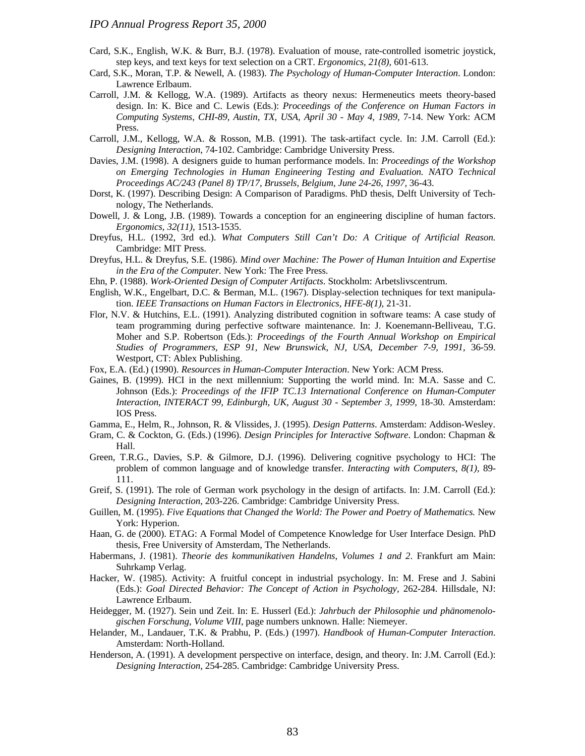- Card, S.K., English, W.K. & Burr, B.J. (1978). Evaluation of mouse, rate-controlled isometric joystick, step keys, and text keys for text selection on a CRT. *Ergonomics, 21(8),* 601-613.
- Card, S.K., Moran, T.P. & Newell, A. (1983). *The Psychology of Human-Computer Interaction*. London: Lawrence Erlbaum.
- Carroll, J.M. & Kellogg, W.A. (1989). Artifacts as theory nexus: Hermeneutics meets theory-based design. In: K. Bice and C. Lewis (Eds.): *Proceedings of the Conference on Human Factors in Computing Systems, CHI-89, Austin, TX, USA, April 30 - May 4, 1989,* 7-14. New York: ACM Press.
- Carroll, J.M., Kellogg, W.A. & Rosson, M.B. (1991). The task-artifact cycle. In: J.M. Carroll (Ed.): *Designing Interaction*, 74-102. Cambridge: Cambridge University Press.
- Davies, J.M. (1998). A designers guide to human performance models. In: *Proceedings of the Workshop on Emerging Technologies in Human Engineering Testing and Evaluation. NATO Technical Proceedings AC/243 (Panel 8) TP/17, Brussels, Belgium, June 24-26, 1997,* 36-43.
- Dorst, K. (1997). Describing Design: A Comparison of Paradigms. PhD thesis, Delft University of Technology, The Netherlands.
- Dowell, J. & Long, J.B. (1989). Towards a conception for an engineering discipline of human factors. *Ergonomics, 32(11),* 1513-1535.
- Dreyfus, H.L. (1992, 3rd ed.). *What Computers Still Can't Do: A Critique of Artificial Reason.* Cambridge: MIT Press.
- Dreyfus, H.L. & Dreyfus, S.E. (1986). *Mind over Machine: The Power of Human Intuition and Expertise in the Era of the Computer.* New York: The Free Press.
- Ehn, P. (1988). *Work-Oriented Design of Computer Artifacts*. Stockholm: Arbetslivscentrum.
- English, W.K., Engelbart, D.C. & Berman, M.L. (1967). Display-selection techniques for text manipulation. *IEEE Transactions on Human Factors in Electronics, HFE-8(1),* 21-31.
- Flor, N.V. & Hutchins, E.L. (1991). Analyzing distributed cognition in software teams: A case study of team programming during perfective software maintenance. In: J. Koenemann-Belliveau, T.G. Moher and S.P. Robertson (Eds.): *Proceedings of the Fourth Annual Workshop on Empirical Studies of Programmers, ESP 91, New Brunswick, NJ, USA, December 7-9, 1991,* 36-59. Westport, CT: Ablex Publishing.
- Fox, E.A. (Ed.) (1990). *Resources in Human-Computer Interaction*. New York: ACM Press.
- Gaines, B. (1999). HCI in the next millennium: Supporting the world mind. In: M.A. Sasse and C. Johnson (Eds.): *Proceedings of the IFIP TC.13 International Conference on Human-Computer Interaction, INTERACT 99, Edinburgh, UK, August 30 - September 3, 1999,* 18-30. Amsterdam: IOS Press.
- Gamma, E., Helm, R., Johnson, R. & Vlissides, J. (1995). *Design Patterns*. Amsterdam: Addison-Wesley.
- Gram, C. & Cockton, G. (Eds.) (1996). *Design Principles for Interactive Software*. London: Chapman & Hall.
- Green, T.R.G., Davies, S.P. & Gilmore, D.J. (1996). Delivering cognitive psychology to HCI: The problem of common language and of knowledge transfer. *Interacting with Computers, 8(1),* 89- 111.
- Greif, S. (1991). The role of German work psychology in the design of artifacts. In: J.M. Carroll (Ed.): *Designing Interaction*, 203-226. Cambridge: Cambridge University Press.
- Guillen, M. (1995). *Five Equations that Changed the World: The Power and Poetry of Mathematics.* New York: Hyperion.
- Haan, G. de (2000). ETAG: A Formal Model of Competence Knowledge for User Interface Design. PhD thesis, Free University of Amsterdam, The Netherlands.
- Habermans, J. (1981). *Theorie des kommunikativen Handelns*, *Volumes 1 and 2*. Frankfurt am Main: Suhrkamp Verlag.
- Hacker, W. (1985). Activity: A fruitful concept in industrial psychology. In: M. Frese and J. Sabini (Eds.): *Goal Directed Behavior: The Concept of Action in Psychology,* 262-284. Hillsdale, NJ: Lawrence Erlbaum.
- Heidegger, M. (1927). Sein und Zeit. In: E. Husserl (Ed.): *Jahrbuch der Philosophie und phänomenologischen Forschung, Volume VIII,* page numbers unknown. Halle: Niemeyer.
- Helander, M., Landauer, T.K. & Prabhu, P. (Eds.) (1997). *Handbook of Human-Computer Interaction*. Amsterdam: North-Holland.
- Henderson, A. (1991). A development perspective on interface, design, and theory. In: J.M. Carroll (Ed.): *Designing Interaction*, 254-285. Cambridge: Cambridge University Press.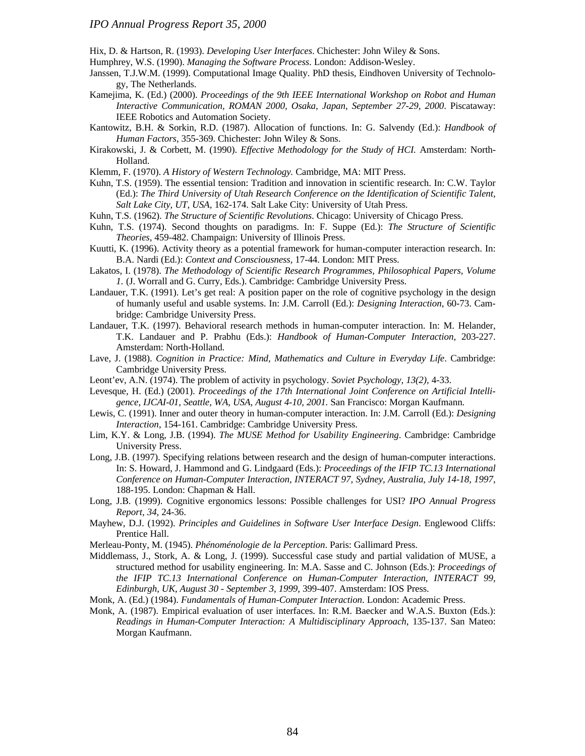Hix, D. & Hartson, R. (1993). *Developing User Interfaces*. Chichester: John Wiley & Sons.

Humphrey, W.S. (1990). *Managing the Software Process*. London: Addison-Wesley.

- Janssen, T.J.W.M. (1999). Computational Image Quality. PhD thesis, Eindhoven University of Technology, The Netherlands.
- Kamejima, K. (Ed.) (2000). *Proceedings of the 9th IEEE International Workshop on Robot and Human Interactive Communication, ROMAN 2000, Osaka, Japan, September 27-29, 2000*. Piscataway: IEEE Robotics and Automation Society.
- Kantowitz, B.H. & Sorkin, R.D. (1987). Allocation of functions. In: G. Salvendy (Ed.): *Handbook of Human Factors*, 355-369. Chichester: John Wiley & Sons.
- Kirakowski, J. & Corbett, M. (1990). *Effective Methodology for the Study of HCI.* Amsterdam: North-Holland.
- Klemm, F. (1970). *A History of Western Technology.* Cambridge, MA: MIT Press.
- Kuhn, T.S. (1959). The essential tension: Tradition and innovation in scientific research. In: C.W. Taylor (Ed.): *The Third University of Utah Research Conference on the Identification of Scientific Talent, Salt Lake City, UT, USA,* 162-174. Salt Lake City: University of Utah Press.
- Kuhn, T.S. (1962). *The Structure of Scientific Revolutions*. Chicago: University of Chicago Press.
- Kuhn, T.S. (1974). Second thoughts on paradigms. In: F. Suppe (Ed.): *The Structure of Scientific Theories*, 459-482. Champaign: University of Illinois Press.
- Kuutti, K. (1996). Activity theory as a potential framework for human-computer interaction research. In: B.A. Nardi (Ed.): *Context and Consciousness,* 17-44. London: MIT Press.
- Lakatos, I. (1978). *The Methodology of Scientific Research Programmes, Philosophical Papers, Volume 1.* (J. Worrall and G. Curry, Eds.). Cambridge: Cambridge University Press.
- Landauer, T.K. (1991). Let's get real: A position paper on the role of cognitive psychology in the design of humanly useful and usable systems. In: J.M. Carroll (Ed.): *Designing Interaction*, 60-73. Cambridge: Cambridge University Press.
- Landauer, T.K. (1997). Behavioral research methods in human-computer interaction. In: M. Helander, T.K. Landauer and P. Prabhu (Eds.): *Handbook of Human-Computer Interaction*, 203-227. Amsterdam: North-Holland.
- Lave, J. (1988). *Cognition in Practice: Mind, Mathematics and Culture in Everyday Life*. Cambridge: Cambridge University Press.
- Leont'ev, A.N. (1974). The problem of activity in psychology. *Soviet Psychology, 13(2),* 4-33.
- Levesque, H. (Ed.) (2001). *Proceedings of the 17th International Joint Conference on Artificial Intelligence, IJCAI-01, Seattle, WA, USA, August 4-10, 2001.* San Francisco: Morgan Kaufmann.
- Lewis, C. (1991). Inner and outer theory in human-computer interaction. In: J.M. Carroll (Ed.): *Designing Interaction*, 154-161. Cambridge: Cambridge University Press.
- Lim, K.Y. & Long, J.B. (1994). *The MUSE Method for Usability Engineering*. Cambridge: Cambridge University Press.
- Long, J.B. (1997). Specifying relations between research and the design of human-computer interactions. In: S. Howard, J. Hammond and G. Lindgaard (Eds.): *Proceedings of the IFIP TC.13 International Conference on Human-Computer Interaction, INTERACT 97, Sydney, Australia, July 14-18, 1997,* 188-195. London: Chapman & Hall.
- Long, J.B. (1999). Cognitive ergonomics lessons: Possible challenges for USI? *IPO Annual Progress Report, 34,* 24-36.
- Mayhew, D.J. (1992). *Principles and Guidelines in Software User Interface Design*. Englewood Cliffs: Prentice Hall.
- Merleau-Ponty, M. (1945). *Phénoménologie de la Perception*. Paris: Gallimard Press.
- Middlemass, J., Stork, A. & Long, J. (1999). Successful case study and partial validation of MUSE, a structured method for usability engineering. In: M.A. Sasse and C. Johnson (Eds.): *Proceedings of the IFIP TC.13 International Conference on Human-Computer Interaction, INTERACT 99, Edinburgh, UK, August 30 - September 3, 1999,* 399-407. Amsterdam: IOS Press.
- Monk, A. (Ed.) (1984). *Fundamentals of Human-Computer Interaction*. London: Academic Press.
- Monk, A. (1987). Empirical evaluation of user interfaces. In: R.M. Baecker and W.A.S. Buxton (Eds.): *Readings in Human-Computer Interaction: A Multidisciplinary Approach*, 135-137. San Mateo: Morgan Kaufmann.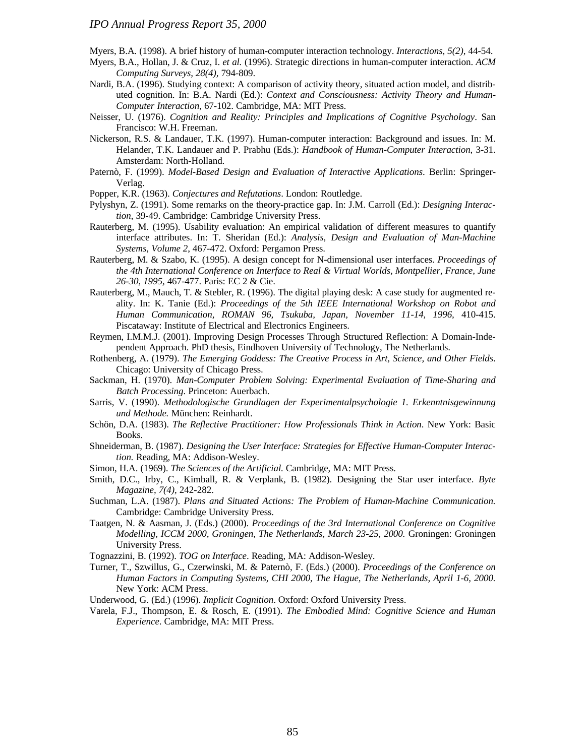Myers, B.A. (1998). A brief history of human-computer interaction technology. *Interactions, 5(2),* 44-54.

- Myers, B.A., Hollan, J. & Cruz, I. *et al.* (1996). Strategic directions in human-computer interaction. *ACM Computing Surveys, 28(4),* 794-809.
- Nardi, B.A. (1996). Studying context: A comparison of activity theory, situated action model, and distributed cognition. In: B.A. Nardi (Ed.): *Context and Consciousness: Activity Theory and Human-Computer Interaction,* 67-102. Cambridge, MA: MIT Press.
- Neisser, U. (1976). *Cognition and Reality: Principles and Implications of Cognitive Psychology*. San Francisco: W.H. Freeman.
- Nickerson, R.S. & Landauer, T.K. (1997). Human-computer interaction: Background and issues. In: M. Helander, T.K. Landauer and P. Prabhu (Eds.): *Handbook of Human-Computer Interaction*, 3-31. Amsterdam: North-Holland.
- Paternò, F. (1999). *Model-Based Design and Evaluation of Interactive Applications*. Berlin: Springer-Verlag.
- Popper, K.R. (1963). *Conjectures and Refutations*. London: Routledge.
- Pylyshyn, Z. (1991). Some remarks on the theory-practice gap. In: J.M. Carroll (Ed.): *Designing Interaction*, 39-49. Cambridge: Cambridge University Press.
- Rauterberg, M. (1995). Usability evaluation: An empirical validation of different measures to quantify interface attributes. In: T. Sheridan (Ed.): *Analysis, Design and Evaluation of Man-Machine Systems*, *Volume 2*, 467-472. Oxford: Pergamon Press.
- Rauterberg, M. & Szabo, K. (1995). A design concept for N-dimensional user interfaces. *Proceedings of the 4th International Conference on Interface to Real & Virtual Worlds, Montpellier, France, June 26-30, 1995,* 467-477. Paris: EC 2 & Cie.
- Rauterberg, M., Mauch, T. & Stebler, R. (1996). The digital playing desk: A case study for augmented reality. In: K. Tanie (Ed.): *Proceedings of the 5th IEEE International Workshop on Robot and Human Communication, ROMAN 96, Tsukuba, Japan, November 11-14, 1996,* 410-415. Piscataway: Institute of Electrical and Electronics Engineers.
- Reymen, I.M.M.J. (2001). Improving Design Processes Through Structured Reflection: A Domain-Independent Approach. PhD thesis, Eindhoven University of Technology, The Netherlands.
- Rothenberg, A. (1979). *The Emerging Goddess: The Creative Process in Art, Science, and Other Fields*. Chicago: University of Chicago Press.
- Sackman, H. (1970). *Man-Computer Problem Solving: Experimental Evaluation of Time-Sharing and Batch Processing*. Princeton: Auerbach.
- Sarris, V. (1990). *Methodologische Grundlagen der Experimentalpsychologie 1. Erkenntnisgewinnung und Methode.* München: Reinhardt.
- Schön, D.A. (1983). *The Reflective Practitioner: How Professionals Think in Action*. New York: Basic Books.
- Shneiderman, B. (1987). *Designing the User Interface: Strategies for Effective Human-Computer Interaction.* Reading, MA: Addison-Wesley.
- Simon, H.A. (1969). *The Sciences of the Artificial.* Cambridge, MA: MIT Press.
- Smith, D.C., Irby, C., Kimball, R. & Verplank, B. (1982). Designing the Star user interface. *Byte Magazine, 7(4),* 242-282.
- Suchman, L.A. (1987). *Plans and Situated Actions: The Problem of Human-Machine Communication.* Cambridge: Cambridge University Press.
- Taatgen, N. & Aasman, J. (Eds.) (2000). *Proceedings of the 3rd International Conference on Cognitive Modelling, ICCM 2000, Groningen, The Netherlands, March 23-25, 2000.* Groningen: Groningen University Press.
- Tognazzini, B. (1992). *TOG on Interface*. Reading, MA: Addison-Wesley.
- Turner, T., Szwillus, G., Czerwinski, M. & Paternò, F. (Eds.) (2000). *Proceedings of the Conference on Human Factors in Computing Systems, CHI 2000, The Hague, The Netherlands, April 1-6, 2000.* New York: ACM Press.
- Underwood, G. (Ed.) (1996). *Implicit Cognition*. Oxford: Oxford University Press.
- Varela, F.J., Thompson, E. & Rosch, E. (1991). *The Embodied Mind: Cognitive Science and Human Experience*. Cambridge, MA: MIT Press.